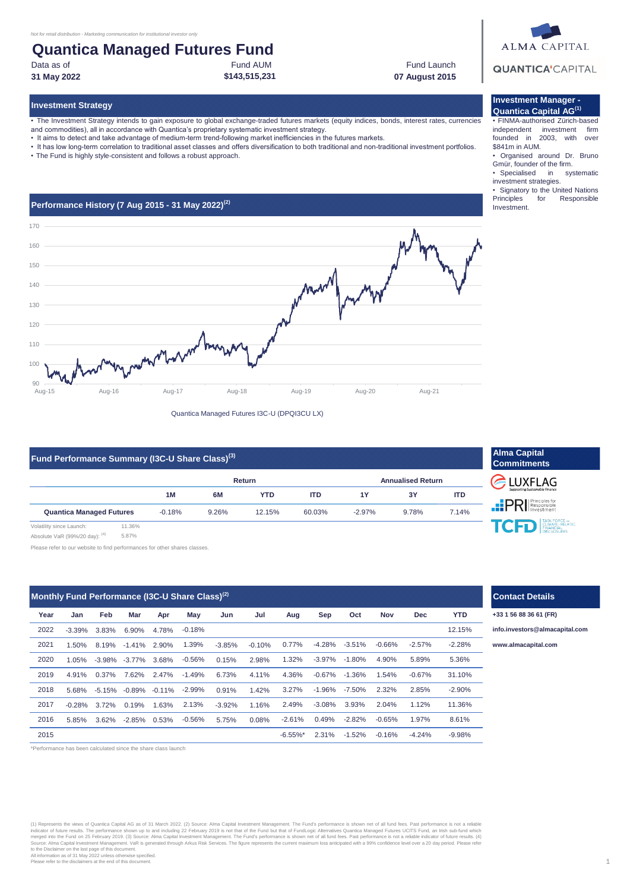## Fund AUM **Quantica Managed Futures Fund**

Data as of

#### **31 May 2022 07 August 2015**

**Investment Strategy**

• The Investment Strategy intends to gain exposure to global exchange-traded futures markets (equity indices, bonds, interest rates, currencies

**\$143,515,231**

- and commodities), all in accordance with Quantica's proprietary systematic investment strategy.
- It aims to detect and take advantage of medium-term trend-following market inefficiencies in the futures markets.
- It has low long-term correlation to traditional asset classes and offers diversification to both traditional and non-traditional investment portfolios.
- The Fund is highly style-consistent and follows a robust approach.



Quantica Managed Futures I3C-U (DPQI3CU LX)

| Fund Performance Summary (I3C-U Share Class) <sup>(3)</sup> |       |           |       |        |            |                          |       |            |  |
|-------------------------------------------------------------|-------|-----------|-------|--------|------------|--------------------------|-------|------------|--|
|                                                             |       | Return    |       |        |            | <b>Annualised Return</b> |       |            |  |
|                                                             |       | <b>1M</b> | 6M    | YTD    | <b>ITD</b> | 1Y                       | 3Y    | <b>ITD</b> |  |
| <b>Quantica Managed Futures</b>                             |       | $-0.18%$  | 9.26% | 12.15% | 60.03%     | $-2.97%$                 | 9.78% | 7.14%      |  |
| Volatility since Launch:                                    | 1.36% |           |       |        |            |                          |       |            |  |

Absolute VaR (99%/20 day): (4) 5.87%

Please refer to our website to find performances for other shares classes.

| Monthly Fund Performance (I3C-U Share Class) $^{(2)}$ |          |       |                   |                           |           |          |          |             |           |           |          |            |            |
|-------------------------------------------------------|----------|-------|-------------------|---------------------------|-----------|----------|----------|-------------|-----------|-----------|----------|------------|------------|
| Year                                                  | Jan      | Feb   | Mar               | Apr                       | May       | Jun      | Jul      | Aug         | Sep       | Oct       | Nov      | <b>Dec</b> | <b>YTD</b> |
| 2022                                                  | $-3.39%$ | 3.83% | 6.90%             | 4.78%                     | $-0.18%$  |          |          |             |           |           |          |            | 12.15%     |
| 2021                                                  | 1.50%    | 8.19% | $-1.41%$          | 2.90%                     | 1.39%     | $-3.85%$ | $-0.10%$ | 0.77%       | $-4.28%$  | $-3.51\%$ | $-0.66%$ | $-2.57%$   | $-2.28%$   |
| 2020                                                  | $1.05\%$ |       | $-3.98\% -3.77\%$ | 3.68%                     | $-0.56%$  | 0.15%    | 2.98%    | 1.32%       | $-3.97%$  | $-1.80\%$ | 4.90%    | 5.89%      | 5.36%      |
| 2019                                                  | 4.91%    | 0.37% | 7.62%             | 2.47%                     | $-1.49%$  | 6.73%    | 4.11%    | 4.36%       | $-0.67\%$ | $-1.36\%$ | 1.54%    | $-0.67%$   | 31.10%     |
| 2018                                                  | 5.68%    |       |                   | $-5.15\% -0.89\% -0.11\%$ | $-2.99\%$ | 0.91%    | 1.42%    | 3.27%       | $-1.96%$  | $-7.50%$  | 2.32%    | 2.85%      | $-2.90%$   |
| 2017                                                  | $-0.28%$ | 3.72% | 0.19%             | 1.63%                     | 2.13%     | $-3.92%$ | 1.16%    | 2.49%       | $-3.08%$  | 3.93%     | 2.04%    | 1.12%      | 11.36%     |
| 2016                                                  | 5.85%    | 3.62% | $-2.85\%$ 0.53%   |                           | $-0.56\%$ | 5.75%    | 0.08%    | $-2.61%$    | 0.49%     | $-2.82%$  | $-0.65%$ | 1.97%      | 8.61%      |
| 2015                                                  |          |       |                   |                           |           |          |          | $-6.55\%$ * | 2.31%     | $-1.52%$  | $-0.16%$ | $-4.24%$   | $-9.98%$   |

\*Performance has been calculated since the share class launch

(1) Represents the views of Quantica Capital AG as of 31 March 2022. (2) Source: Alma Capital Investment Management. The Fund's performance is shown net of all fund fees. Past performance is not a reliable indicator of future results. The performance shown up to and including 22 February 2019 is not that of the Fund but that of FundLogic Alternatives Quantica Managed Futures UCITS Fund, an Irish sub-fund which<br>merged into th



#### **Investment Manager - Quantica Capital AG(1)**

Fund Launch

• FINMA-authorised Zürich-based independent investment firm founded in 2003, with over \$841m in AUM.

- Organised around Dr. Bruno
- Gmür, founder of the firm.<br>• Specialised in sys in systematic
- investment strategies.
- Signatory to the United Nations<br>Principles for Responsible for Responsible Investment.

| <b>Alma Capital</b><br><b>Commitments</b>          |                    |  |  |  |  |  |
|----------------------------------------------------|--------------------|--|--|--|--|--|
| <b>E</b> LUXFLAG<br>Supporting Sustainable Finance |                    |  |  |  |  |  |
| <b>PRI</b> Responsible                             |                    |  |  |  |  |  |
| <b>TCFD</b> ENANCIAL                               | <b>DISCLOSURES</b> |  |  |  |  |  |

# **Contact Details**

**+33 1 56 88 36 61 (FR)**

**[info.in](mailto:info.investors@almacapital.com)vestors@almacapital.com**

-3.51% -0.66% **[www.](http://www.almacapital.com/)almacapital.com**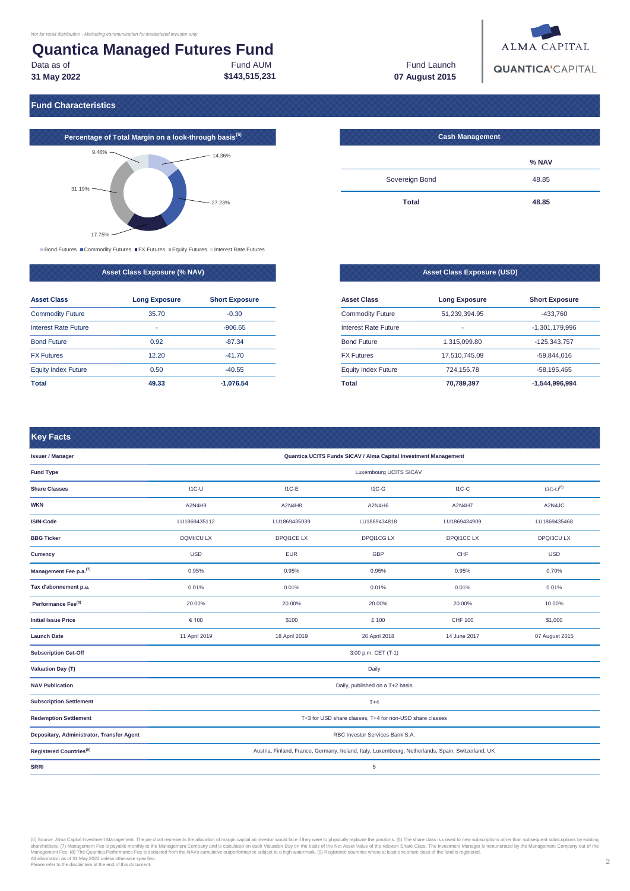#### **Quantica Managed Futures Fund** Fund AUM Data as of

**\$143,515,231 31 May 2022**

Fund Launch **07 August 2015**



**Fund Characteristics**



Bond Futures Commodity Futures FX Futures Equity Futures Interest Rate Futures

#### **Asset Class Exposure (% NAV)**

| <b>Asset Class</b>         | <b>Long Exposure</b> | <b>Short Exposure</b> |  |  |
|----------------------------|----------------------|-----------------------|--|--|
| <b>Commodity Future</b>    | 35.70                | $-0.30$               |  |  |
| Interest Rate Future       | $\blacksquare$       | $-906.65$             |  |  |
| <b>Bond Future</b>         | 0.92                 | $-87.34$              |  |  |
| <b>FX Futures</b>          | 12.20                | $-41.70$              |  |  |
| <b>Equity Index Future</b> | 0.50                 | $-40.55$              |  |  |
| Total                      | 49.33                | $-1.076.54$           |  |  |

| <b>Cash Management</b> |       |
|------------------------|-------|
|                        | % NAV |
| Sovereign Bond         | 48.85 |
| <b>Total</b>           | 48.85 |

| <b>Asset Class Exposure (USD)</b> |                      |                       |  |  |  |  |
|-----------------------------------|----------------------|-----------------------|--|--|--|--|
| <b>Asset Class</b>                | <b>Long Exposure</b> | <b>Short Exposure</b> |  |  |  |  |
| <b>Commodity Future</b>           | 51.239.394.95        | $-433.760$            |  |  |  |  |
| Interest Rate Future              | -                    | $-1.301.179.996$      |  |  |  |  |
| <b>Bond Future</b>                | 1.315.099.80         | -125.343.757          |  |  |  |  |
| <b>FX Futures</b>                 | 17.510.745.09        | $-59.844.016$         |  |  |  |  |
| <b>Equity Index Future</b>        | 724.156.78           | $-58.195.465$         |  |  |  |  |
| <b>Total</b>                      | 70,789,397           | -1.544.996.994        |  |  |  |  |

#### **Key Facts**

| alladd: Malladaddadall                    |                                                                                                    |                   |                     |                  |                   |  |  |  |
|-------------------------------------------|----------------------------------------------------------------------------------------------------|-------------------|---------------------|------------------|-------------------|--|--|--|
| <b>Issuer / Manager</b>                   | Quantica UCITS Funds SICAV / Alma Capital Investment Management                                    |                   |                     |                  |                   |  |  |  |
| <b>Fund Type</b>                          | Luxembourg UCITS SICAV                                                                             |                   |                     |                  |                   |  |  |  |
| <b>Share Classes</b>                      | $IC-U$                                                                                             | $I1C-E$           | $IC-G$              | $IC-C$           | $IO-U(6)$         |  |  |  |
| <b>WKN</b>                                | A2N4H9                                                                                             | A2N4H8            | A2N4H6              | A2N4H7           | A2N4JC            |  |  |  |
| <b>ISIN-Code</b>                          | LU1869435112                                                                                       | LU1869435039      | LU1869434818        | LU1869434909     | LU1869435468      |  |  |  |
| <b>BBG Ticker</b>                         | <b>DQMIICU LX</b>                                                                                  | <b>DPQI1CE LX</b> | <b>DPQI1CG LX</b>   | <b>DPQI1CCLX</b> | <b>DPQI3CU LX</b> |  |  |  |
| Currency                                  | <b>USD</b>                                                                                         | <b>EUR</b>        | GBP                 | CHF              | <b>USD</b>        |  |  |  |
| Management Fee p.a. <sup>(7)</sup>        | 0.95%                                                                                              | 0.95%             | 0.95%               | 0.95%            | 0.70%             |  |  |  |
| Tax d'abonnement p.a.                     | 0.01%                                                                                              | 0.01%             | 0.01%               | 0.01%            | 0.01%             |  |  |  |
| Performance Fee <sup>(8)</sup>            | 20.00%                                                                                             | 20.00%            | 20.00%              | 20.00%           | 10.00%            |  |  |  |
| <b>Initial Issue Price</b>                | € 100                                                                                              | \$100             | £100                | <b>CHF 100</b>   | \$1,000           |  |  |  |
| <b>Launch Date</b>                        | 11 April 2019                                                                                      | 18 April 2019     | 26 April 2018       | 14 June 2017     | 07 August 2015    |  |  |  |
| <b>Subscription Cut-Off</b>               |                                                                                                    |                   | 3:00 p.m. CET (T-1) |                  |                   |  |  |  |
| Valuation Day (T)                         |                                                                                                    |                   | Daily               |                  |                   |  |  |  |
| <b>NAV Publication</b>                    | Daily, published on a T+2 basis                                                                    |                   |                     |                  |                   |  |  |  |
| <b>Subscription Settlement</b>            | $T+4$                                                                                              |                   |                     |                  |                   |  |  |  |
| <b>Redemption Settlement</b>              | T+3 for USD share classes, T+4 for non-USD share classes                                           |                   |                     |                  |                   |  |  |  |
| Depositary, Administrator, Transfer Agent | RBC Investor Services Bank S.A.                                                                    |                   |                     |                  |                   |  |  |  |
| Registered Countries <sup>(9)</sup>       | Austria, Finland, France, Germany, Ireland, Italy, Luxembourg, Netherlands, Spain, Switzerland, UK |                   |                     |                  |                   |  |  |  |
| <b>SRRI</b>                               |                                                                                                    |                   | $\,$ 5 $\,$         |                  |                   |  |  |  |

(5) Source: Alma Capital Investment Management Emperient The pie chat represents the allocation of manip capital an investor would face if they were to physically replicate. Shows the New School of many and capital an inve